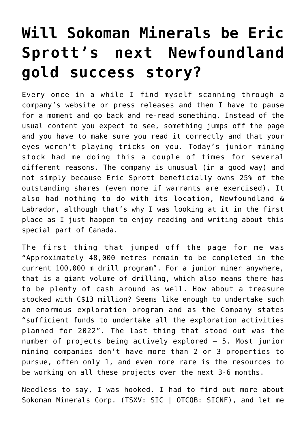## **[Will Sokoman Minerals be Eric](https://investorintel.com/markets/gold-silver-base-metals/gold-precious-metals-intel/will-sokoman-minerals-be-eric-sprotts-next-newfoundland-gold-success-story/) [Sprott's next Newfoundland](https://investorintel.com/markets/gold-silver-base-metals/gold-precious-metals-intel/will-sokoman-minerals-be-eric-sprotts-next-newfoundland-gold-success-story/) [gold success story?](https://investorintel.com/markets/gold-silver-base-metals/gold-precious-metals-intel/will-sokoman-minerals-be-eric-sprotts-next-newfoundland-gold-success-story/)**

Every once in a while I find myself scanning through a company's website or press releases and then I have to pause for a moment and go back and re-read something. Instead of the usual content you expect to see, something jumps off the page and you have to make sure you read it correctly and that your eyes weren't playing tricks on you. Today's junior mining stock had me doing this a couple of times for several different reasons. The company is unusual (in a good way) and not simply because Eric Sprott beneficially owns 25% of the outstanding shares (even more if warrants are exercised). It also had nothing to do with its location, Newfoundland & Labrador, although that's why I was looking at it in the first place as I just happen to enjoy reading and writing about this special part of Canada.

The first thing that jumped off the page for me was "Approximately 48,000 metres remain to be completed in the current 100,000 m drill program". For a junior miner anywhere, that is a giant volume of drilling, which also means there has to be plenty of cash around as well. How about a treasure stocked with C\$13 million? Seems like enough to undertake such an enormous exploration program and as the Company states "sufficient funds to undertake all the exploration activities planned for 2022". The last thing that stood out was the number of projects being actively explored – 5. Most junior mining companies don't have more than 2 or 3 properties to pursue, often only 1, and even more rare is the resources to be working on all these projects over the next 3-6 months.

Needless to say, I was hooked. I had to find out more about [Sokoman Minerals Corp.](https://sokomanmineralscorp.com/) (TSXV: SIC | OTCQB: SICNF), and let me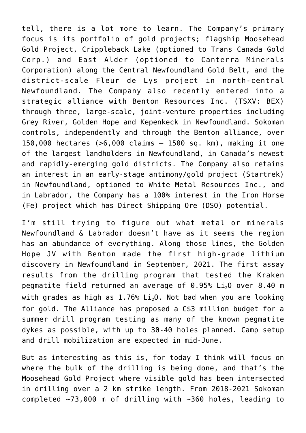tell, there is a lot more to learn. The Company's primary focus is its portfolio of gold projects; flagship [Moosehead](https://sokomanmineralscorp.com/project/flagship-moosehead-gold-project/) [Gold Project,](https://sokomanmineralscorp.com/project/flagship-moosehead-gold-project/) [Crippleback Lake](https://sokomanmineralscorp.com/project/crippleback-lake-project/) (optioned to Trans Canada Gold Corp.) and [East Alder](https://sokomanmineralscorp.com/project/east-alder-project/) (optioned to Canterra Minerals Corporation) along the Central Newfoundland Gold Belt, and the district-scale [Fleur de Lys project](https://sokomanmineralscorp.com/project/fleur-de-lys-project/) in north-central Newfoundland. The Company also recently entered into a strategic alliance with [Benton Resources Inc.](https://www.bentonresources.ca/) (TSXV: BEX) through three, large-scale, joint-venture properties including [Grey River,](https://sokomanmineralscorp.com/project/grey-river-gold-project-sokoman-benton-joint-venture/) [Golden Hope](https://sokomanmineralscorp.com/project/golden-hope-kraken-pegmatite-field/) and [Kepenkeck](https://sokomanmineralscorp.com/project/kepenkeck-gold-project-sokoman-benton-joint-venture/) in Newfoundland. Sokoman controls, independently and through the Benton alliance, over 150,000 hectares (>6,000 claims – 1500 sq. km), making it one of the largest landholders in Newfoundland, in Canada's newest and rapidly-emerging gold districts. The Company also retains an interest in an early-stage antimony/gold project ([Startrek\)](https://sokomanmineralscorp.com/project/startrek-project/) in Newfoundland, optioned to White Metal Resources Inc., and in Labrador, the Company has a 100% interest in the [Iron Horse](https://sokomanmineralscorp.com/project/iron-horse/) [\(Fe\) project](https://sokomanmineralscorp.com/project/iron-horse/) which has Direct Shipping Ore (DSO) potential.

I'm still trying to figure out what metal or minerals Newfoundland & Labrador doesn't have as it seems the region has an abundance of everything. Along those lines, the Golden Hope JV with Benton made the [first high-grade lithium](https://sokomanmineralscorp.com/2021/09/16/sokoman-and-benton-confirm-first-high-grade-lithium-discovery-in-newfoundland-at-the-golden-hope-project/) [discovery](https://sokomanmineralscorp.com/2021/09/16/sokoman-and-benton-confirm-first-high-grade-lithium-discovery-in-newfoundland-at-the-golden-hope-project/) in Newfoundland in September, 2021. The [first assay](https://sokomanmineralscorp.com/2022/03/24/sokoman-and-benton-report-first-drill-assay-results-from-the-kraken-pegmatite-field-golden-hope-project-sw-newfoundland/) [results](https://sokomanmineralscorp.com/2022/03/24/sokoman-and-benton-report-first-drill-assay-results-from-the-kraken-pegmatite-field-golden-hope-project-sw-newfoundland/) from the drilling program that tested the Kraken pegmatite field returned an average of  $0.95\%$  Li<sub>2</sub>O over 8.40 m with grades as high as  $1.76$ %  $Li<sub>2</sub>O$ . Not bad when you are looking for gold. The Alliance has proposed a C\$3 million budget for a summer drill program testing as many of the known pegmatite dykes as possible, with up to 30-40 holes planned. Camp setup and drill mobilization are expected in mid-June.

But as interesting as this is, for today I think will focus on where the bulk of the drilling is being done, and that's the Moosehead Gold Project where visible gold has been intersected in drilling over a 2 km strike length. From 2018-2021 Sokoman completed ~73,000 m of drilling with ~360 holes, leading to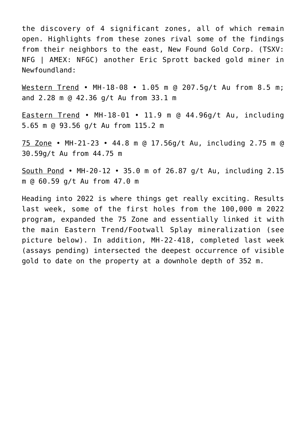the discovery of 4 significant zones, all of which remain open. Highlights from these zones rival some of the findings from their neighbors to the east, New Found Gold Corp. (TSXV: NFG | AMEX: NFGC) another Eric Sprott backed gold miner in Newfoundland:

Western Trend • MH-18-08 • 1.05 m @ 207.5g/t Au from 8.5 m; and 2.28 m @ 42.36 g/t Au from 33.1 m

Eastern Trend • MH-18-01 • 11.9 m @ 44.96g/t Au, including 5.65 m @ 93.56 g/t Au from 115.2 m

75 Zone • MH-21-23 • 44.8 m @ 17.56g/t Au, including 2.75 m @ 30.59g/t Au from 44.75 m

South Pond • MH-20-12 • 35.0 m of 26.87 g/t Au, including 2.15 m @ 60.59 g/t Au from 47.0 m

Heading into 2022 is where things get really exciting. [Results](https://sokomanmineralscorp.com/2022/05/19/sokoman-reports-additional-strong-results-from-the-75-zone-moosehead-project-central-newfoundland/) [last week](https://sokomanmineralscorp.com/2022/05/19/sokoman-reports-additional-strong-results-from-the-75-zone-moosehead-project-central-newfoundland/), some of the first holes from the 100,000 m 2022 program, expanded the 75 Zone and essentially linked it with the main Eastern Trend/Footwall Splay mineralization (see picture below). In addition, MH-22-418, completed last week (assays pending) intersected the deepest occurrence of visible gold to date on the property at a downhole depth of 352 m.